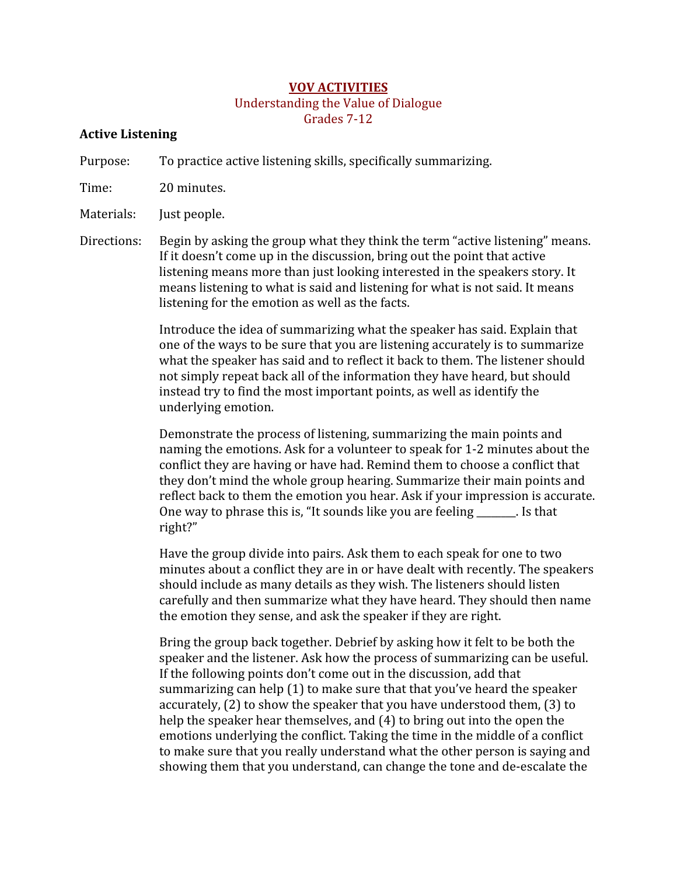#### **VOV ACTIVITIES**

# **Understanding the Value of Dialogue**

Grades 7-12

#### **Active Listening**

Purpose: To practice active listening skills, specifically summarizing.

Time: 20 minutes.

Materials: Just people.

Directions: Begin by asking the group what they think the term "active listening" means. If it doesn't come up in the discussion, bring out the point that active listening means more than just looking interested in the speakers story. It means listening to what is said and listening for what is not said. It means listening for the emotion as well as the facts.

> Introduce the idea of summarizing what the speaker has said. Explain that one of the ways to be sure that you are listening accurately is to summarize what the speaker has said and to reflect it back to them. The listener should not simply repeat back all of the information they have heard, but should instead try to find the most important points, as well as identify the underlying emotion.

Demonstrate the process of listening, summarizing the main points and naming the emotions. Ask for a volunteer to speak for 1-2 minutes about the conflict they are having or have had. Remind them to choose a conflict that they don't mind the whole group hearing. Summarize their main points and reflect back to them the emotion you hear. Ask if your impression is accurate. One way to phrase this is, "It sounds like you are feeling \_\_\_\_\_\_. Is that right?"

Have the group divide into pairs. Ask them to each speak for one to two minutes about a conflict they are in or have dealt with recently. The speakers should include as many details as they wish. The listeners should listen carefully and then summarize what they have heard. They should then name the emotion they sense, and ask the speaker if they are right.

Bring the group back together. Debrief by asking how it felt to be both the speaker and the listener. Ask how the process of summarizing can be useful. If the following points don't come out in the discussion, add that summarizing can help (1) to make sure that that you've heard the speaker accurately, (2) to show the speaker that you have understood them, (3) to help the speaker hear themselves, and (4) to bring out into the open the emotions underlying the conflict. Taking the time in the middle of a conflict to make sure that you really understand what the other person is saying and showing them that you understand, can change the tone and de-escalate the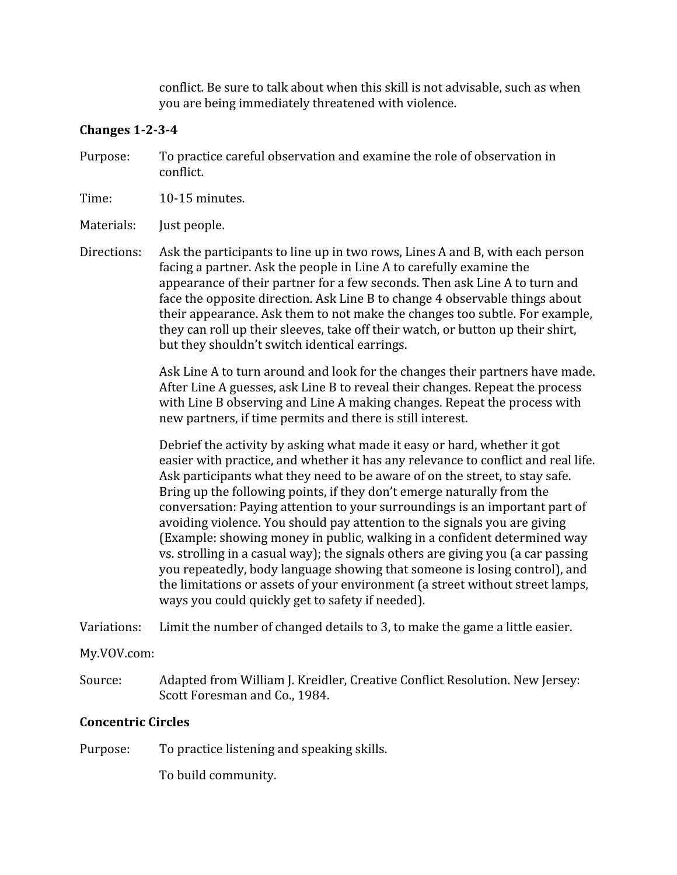conflict. Be sure to talk about when this skill is not advisable, such as when you are being immediately threatened with violence.

#### Changes  $1-2-3-4$

To practice careful observation and examine the role of observation in Purpose: conflict.

Time:  $10-15$  minutes.

Materials: Just people.

Directions: Ask the participants to line up in two rows, Lines A and B, with each person facing a partner. Ask the people in Line A to carefully examine the appearance of their partner for a few seconds. Then ask Line A to turn and face the opposite direction. Ask Line B to change 4 observable things about their appearance. Ask them to not make the changes too subtle. For example, they can roll up their sleeves, take off their watch, or button up their shirt, but they shouldn't switch identical earrings.

> Ask Line A to turn around and look for the changes their partners have made. After Line A guesses, ask Line B to reveal their changes. Repeat the process with Line B observing and Line A making changes. Repeat the process with new partners, if time permits and there is still interest.

> Debrief the activity by asking what made it easy or hard, whether it got easier with practice, and whether it has any relevance to conflict and real life. Ask participants what they need to be aware of on the street, to stay safe. Bring up the following points, if they don't emerge naturally from the conversation: Paying attention to your surroundings is an important part of avoiding violence. You should pay attention to the signals you are giving (Example: showing money in public, walking in a confident determined way vs. strolling in a casual way); the signals others are giving you (a car passing you repeatedly, body language showing that someone is losing control), and the limitations or assets of your environment (a street without street lamps, ways you could quickly get to safety if needed).

Limit the number of changed details to 3, to make the game a little easier. Variations:

My.VOV.com:

Source: Adapted from William J. Kreidler, Creative Conflict Resolution. New Jersey: Scott Foresman and Co., 1984.

## **Concentric Circles**

To practice listening and speaking skills. Purpose:

To build community.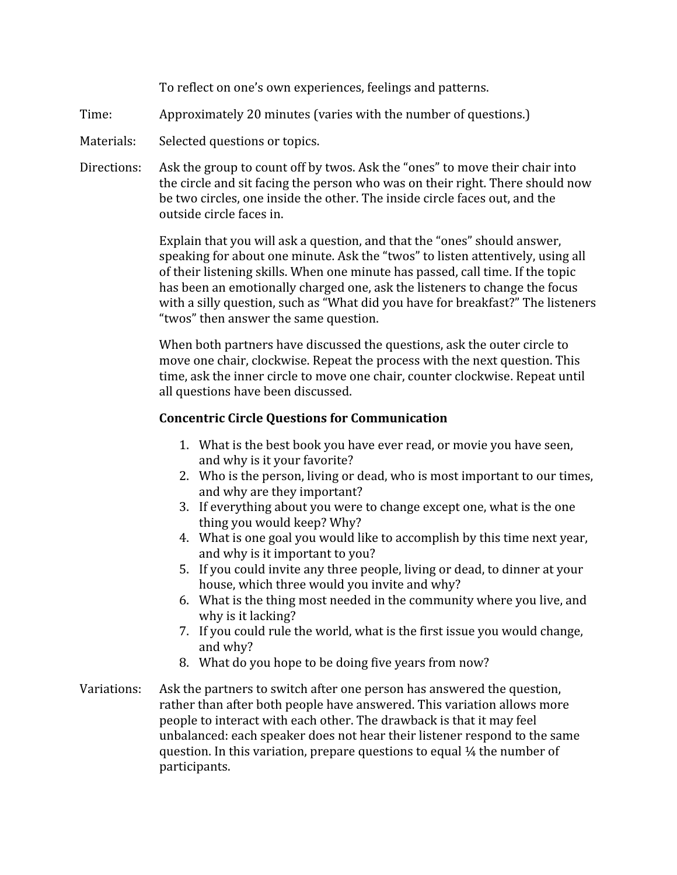To reflect on one's own experiences, feelings and patterns.

- Time: Approximately 20 minutes (varies with the number of questions.)
- Materials: Selected questions or topics.
- Directions: Ask the group to count off by twos. Ask the "ones" to move their chair into the circle and sit facing the person who was on their right. There should now be two circles, one inside the other. The inside circle faces out, and the outside circle faces in.

Explain that you will ask a question, and that the "ones" should answer, speaking for about one minute. Ask the "twos" to listen attentively, using all of their listening skills. When one minute has passed, call time. If the topic has been an emotionally charged one, ask the listeners to change the focus with a silly question, such as "What did you have for breakfast?" The listeners "twos" then answer the same question.

When both partners have discussed the questions, ask the outer circle to move one chair, clockwise. Repeat the process with the next question. This time, ask the inner circle to move one chair, counter clockwise. Repeat until all questions have been discussed.

## **Concentric Circle Questions for Communication**

- 1. What is the best book you have ever read, or movie you have seen, and why is it your favorite?
- 2. Who is the person, living or dead, who is most important to our times, and why are they important?
- 3. If everything about you were to change except one, what is the one thing you would keep? Why?
- 4. What is one goal you would like to accomplish by this time next year, and why is it important to you?
- 5. If you could invite any three people, living or dead, to dinner at your house, which three would you invite and why?
- 6. What is the thing most needed in the community where you live, and why is it lacking?
- 7. If you could rule the world, what is the first issue you would change, and why?
- 8. What do you hope to be doing five years from now?
- Variations: Ask the partners to switch after one person has answered the question, rather than after both people have answered. This variation allows more people to interact with each other. The drawback is that it may feel unbalanced: each speaker does not hear their listener respond to the same question. In this variation, prepare questions to equal  $\frac{1}{4}$  the number of participants.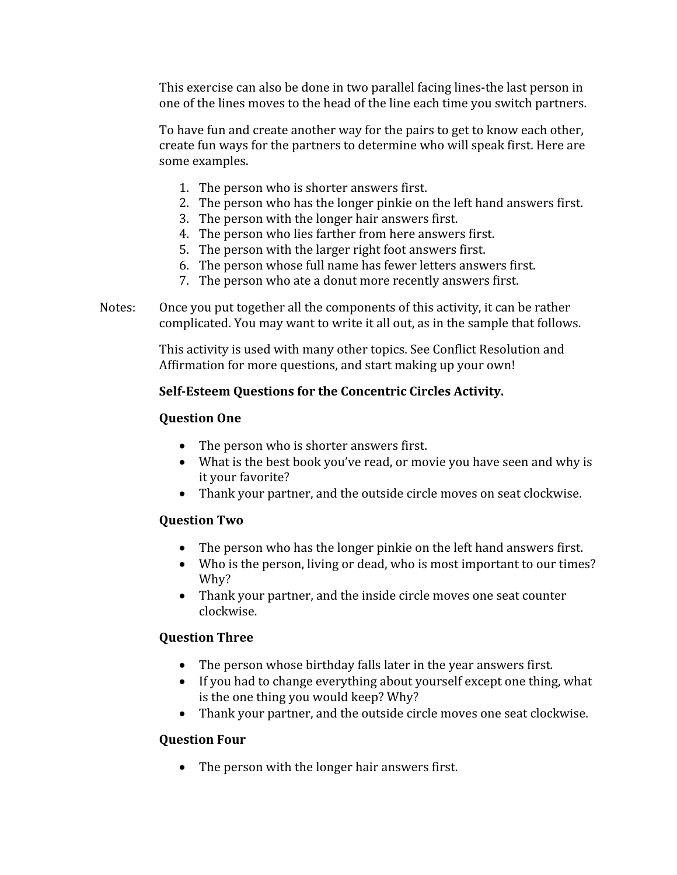This exercise can also be done in two parallel facing lines-the last person in one of the lines moves to the head of the line each time you switch partners.

To have fun and create another way for the pairs to get to know each other, create fun ways for the partners to determine who will speak first. Here are some examples.

- 1. The person who is shorter answers first.
- 2. The person who has the longer pinkie on the left hand answers first.
- 3. The person with the longer hair answers first.
- 4. The person who lies farther from here answers first.
- 5. The person with the larger right foot answers first.
- 6. The person whose full name has fewer letters answers first.
- 7. The person who ate a donut more recently answers first.

Notes: Once you put together all the components of this activity, it can be rather complicated. You may want to write it all out, as in the sample that follows.

> This activity is used with many other topics. See Conflict Resolution and Affirmation for more questions, and start making up your own!

## Self-Esteem Questions for the Concentric Circles Activity.

## **Question One**

- The person who is shorter answers first.
- What is the best book you've read, or movie you have seen and why is it your favorite?
- Thank your partner, and the outside circle moves on seat clockwise.

## **Question Two**

- The person who has the longer pinkie on the left hand answers first.
- Who is the person, living or dead, who is most important to our times? Why?
- Thank your partner, and the inside circle moves one seat counter clockwise.

## **Question Three**

- The person whose birthday falls later in the year answers first.
- If you had to change everything about yourself except one thing, what is the one thing you would keep? Why?
- Thank your partner, and the outside circle moves one seat clockwise.

## **Question Four**

The person with the longer hair answers first.  $\bullet$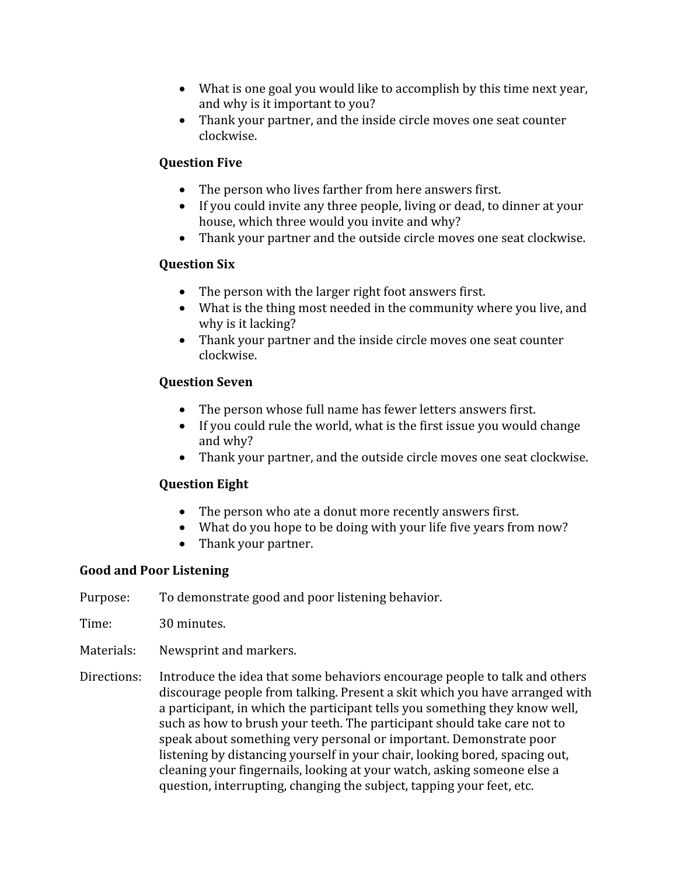- What is one goal you would like to accomplish by this time next year, and why is it important to you?
- Thank your partner, and the inside circle moves one seat counter clockwise.

## **Ouestion Five**

- The person who lives farther from here answers first.
- If you could invite any three people, living or dead, to dinner at your house, which three would you invite and why?
- Thank your partner and the outside circle moves one seat clockwise.

## **Ouestion Six**

- The person with the larger right foot answers first.
- What is the thing most needed in the community where you live, and why is it lacking?
- Thank your partner and the inside circle moves one seat counter clockwise.

## **Ouestion Seven**

- The person whose full name has fewer letters answers first.
- If you could rule the world, what is the first issue you would change and why?
- Thank your partner, and the outside circle moves one seat clockwise.

## **Ouestion Eight**

- The person who ate a donut more recently answers first.
- What do you hope to be doing with your life five years from now?
- Thank your partner.

## **Good and Poor Listening**

To demonstrate good and poor listening behavior. Purpose:

Time: 30 minutes.

Materials: Newsprint and markers.

Directions: Introduce the idea that some behaviors encourage people to talk and others discourage people from talking. Present a skit which you have arranged with a participant, in which the participant tells you something they know well, such as how to brush your teeth. The participant should take care not to speak about something very personal or important. Demonstrate poor listening by distancing yourself in your chair, looking bored, spacing out, cleaning your fingernails, looking at your watch, asking someone else a question, interrupting, changing the subject, tapping your feet, etc.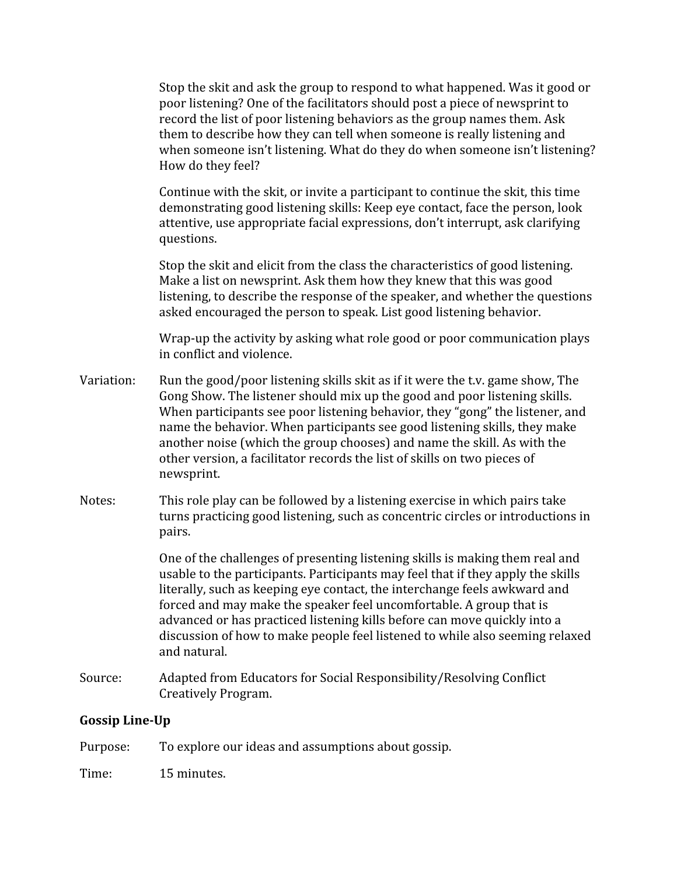Stop the skit and ask the group to respond to what happened. Was it good or poor listening? One of the facilitators should post a piece of newsprint to record the list of poor listening behaviors as the group names them. Ask them to describe how they can tell when someone is really listening and when someone isn't listening. What do they do when someone isn't listening? How do they feel?

Continue with the skit, or invite a participant to continue the skit, this time demonstrating good listening skills: Keep eye contact, face the person, look attentive, use appropriate facial expressions, don't interrupt, ask clarifying questions.

Stop the skit and elicit from the class the characteristics of good listening. Make a list on newsprint. Ask them how they knew that this was good listening, to describe the response of the speaker, and whether the questions asked encouraged the person to speak. List good listening behavior.

Wrap-up the activity by asking what role good or poor communication plays in conflict and violence.

- Run the good/poor listening skills skit as if it were the t.v. game show, The Variation: Gong Show. The listener should mix up the good and poor listening skills. When participants see poor listening behavior, they "gong" the listener, and name the behavior. When participants see good listening skills, they make another noise (which the group chooses) and name the skill. As with the other version, a facilitator records the list of skills on two pieces of newsprint.
- Notes: This role play can be followed by a listening exercise in which pairs take turns practicing good listening, such as concentric circles or introductions in pairs.

One of the challenges of presenting listening skills is making them real and usable to the participants. Participants may feel that if they apply the skills literally, such as keeping eye contact, the interchange feels awkward and forced and may make the speaker feel uncomfortable. A group that is advanced or has practiced listening kills before can move quickly into a discussion of how to make people feel listened to while also seeming relaxed and natural.

Source: Adapted from Educators for Social Responsibility/Resolving Conflict Creatively Program.

## **Gossip Line-Up**

- Purpose: To explore our ideas and assumptions about gossip.
- Time: 15 minutes.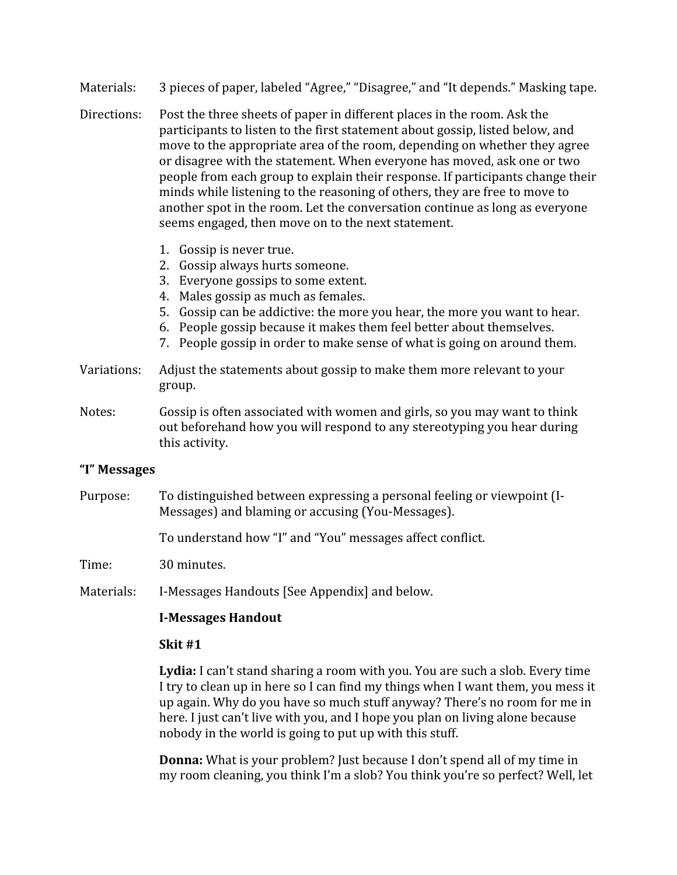- Materials: 3 pieces of paper, labeled "Agree," "Disagree," and "It depends." Masking tape.
- Post the three sheets of paper in different places in the room. Ask the Directions: participants to listen to the first statement about gossip, listed below, and move to the appropriate area of the room, depending on whether they agree or disagree with the statement. When everyone has moved, ask one or two people from each group to explain their response. If participants change their minds while listening to the reasoning of others, they are free to move to another spot in the room. Let the conversation continue as long as everyone seems engaged, then move on to the next statement.
	- 1. Gossip is never true.
	- 2. Gossip always hurts someone.
	- 3. Everyone gossips to some extent.
	- 4. Males gossip as much as females.
	- 5. Gossip can be addictive: the more you hear, the more you want to hear.
	- 6. People gossip because it makes them feel better about themselves.
	- 7. People gossip in order to make sense of what is going on around them.
- Adjust the statements about gossip to make them more relevant to your Variations: group.
- Gossip is often associated with women and girls, so you may want to think Notes: out beforehand how you will respond to any stereotyping you hear during this activity.

#### "I" Messages

To distinguished between expressing a personal feeling or viewpoint (I-Purpose: Messages) and blaming or accusing (You-Messages).

To understand how "I" and "You" messages affect conflict.

Time: 30 minutes.

I-Messages Handouts [See Appendix] and below. Materials:

#### **I-Messages Handout**

#### Skit  $#1$

Lydia: I can't stand sharing a room with you. You are such a slob. Every time I try to clean up in here so I can find my things when I want them, you mess it up again. Why do you have so much stuff anyway? There's no room for me in here. I just can't live with you, and I hope you plan on living alone because nobody in the world is going to put up with this stuff.

Donna: What is your problem? Just because I don't spend all of my time in my room cleaning, you think I'm a slob? You think you're so perfect? Well, let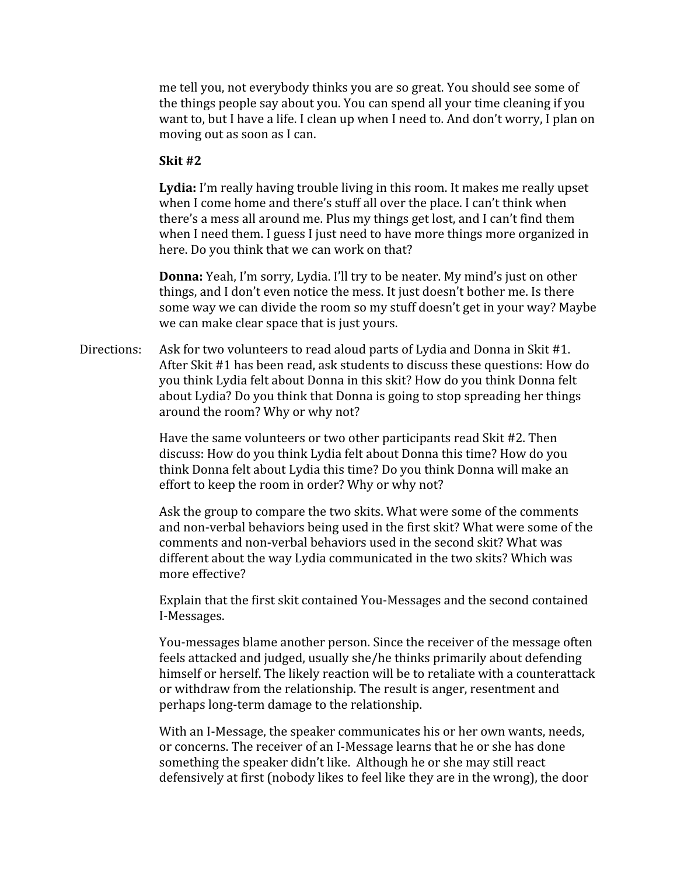me tell you, not everybody thinks you are so great. You should see some of the things people say about you. You can spend all your time cleaning if you want to, but I have a life. I clean up when I need to. And don't worry, I plan on moving out as soon as I can.

#### Skit #2

Lydia: I'm really having trouble living in this room. It makes me really upset when I come home and there's stuff all over the place. I can't think when there's a mess all around me. Plus my things get lost, and I can't find them when I need them. I guess I just need to have more things more organized in here. Do you think that we can work on that?

**Donna:** Yeah, I'm sorry, Lydia. I'll try to be neater. My mind's just on other things, and I don't even notice the mess. It just doesn't bother me. Is there some way we can divide the room so my stuff doesn't get in your way? Maybe we can make clear space that is just yours.

Directions: Ask for two volunteers to read aloud parts of Lydia and Donna in Skit #1. After Skit #1 has been read, ask students to discuss these questions: How do you think Lydia felt about Donna in this skit? How do you think Donna felt about Lydia? Do you think that Donna is going to stop spreading her things around the room? Why or why not?

> Have the same volunteers or two other participants read Skit #2. Then discuss: How do you think Lydia felt about Donna this time? How do you think Donna felt about Lydia this time? Do you think Donna will make an effort to keep the room in order? Why or why not?

Ask the group to compare the two skits. What were some of the comments and non-verbal behaviors being used in the first skit? What were some of the comments and non-verbal behaviors used in the second skit? What was different about the way Lydia communicated in the two skits? Which was more effective?

Explain that the first skit contained You-Messages and the second contained I-Messages.

You-messages blame another person. Since the receiver of the message often feels attacked and judged, usually she/he thinks primarily about defending himself or herself. The likely reaction will be to retaliate with a counterattack or withdraw from the relationship. The result is anger, resentment and perhaps long-term damage to the relationship.

With an I-Message, the speaker communicates his or her own wants, needs. or concerns. The receiver of an I-Message learns that he or she has done something the speaker didn't like. Although he or she may still react defensively at first (nobody likes to feel like they are in the wrong), the door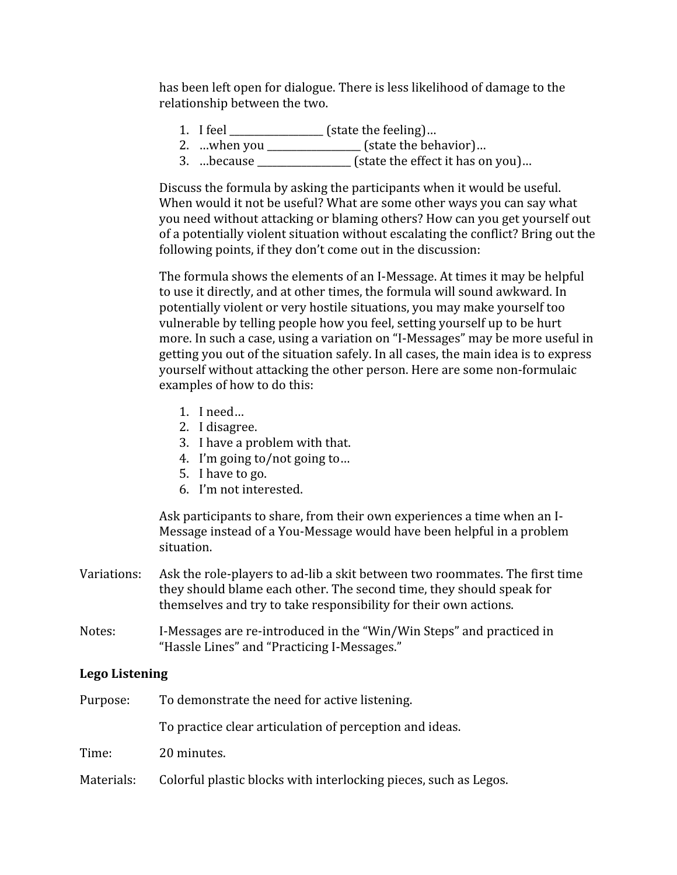has been left open for dialogue. There is less likelihood of damage to the relationship between the two.

- 1. I feel  $\frac{1}{\sqrt{1-\frac{1}{\sqrt{1-\frac{1}{\sqrt{1-\frac{1}{\sqrt{1-\frac{1}{\sqrt{1-\frac{1}{\sqrt{1-\frac{1}{\sqrt{1-\frac{1}{\sqrt{1-\frac{1}{\sqrt{1-\frac{1}{\sqrt{1-\frac{1}{\sqrt{1-\frac{1}{\sqrt{1-\frac{1}{\sqrt{1-\frac{1}{\sqrt{1-\frac{1}{\sqrt{1-\frac{1}{\sqrt{1-\frac{1}{\sqrt{1-\frac{1}{\sqrt{1-\frac{1}{\sqrt{1-\frac{1}{\sqrt{1-\frac{1}{\sqrt{1-\frac{1}{\sqrt{1-\frac{1}{\sqrt{1-\frac{$
- 2. ...when you \_\_\_\_\_\_\_\_\_\_\_\_\_\_\_\_\_\_ (state the behavior)...
- 

Discuss the formula by asking the participants when it would be useful. When would it not be useful? What are some other ways you can say what you need without attacking or blaming others? How can you get yourself out of a potentially violent situation without escalating the conflict? Bring out the following points, if they don't come out in the discussion:

The formula shows the elements of an I-Message. At times it may be helpful to use it directly, and at other times, the formula will sound awkward. In potentially violent or very hostile situations, you may make yourself too vulnerable by telling people how you feel, setting yourself up to be hurt more. In such a case, using a variation on "I-Messages" may be more useful in getting you out of the situation safely. In all cases, the main idea is to express yourself without attacking the other person. Here are some non-formulaic examples of how to do this:

- 1.  $I need...$
- 2. I disagree.
- 3. I have a problem with that.
- 4. I'm going to/not going to...
- 5. I have to go.
- 6. I'm not interested.

Ask participants to share, from their own experiences a time when an I-Message instead of a You-Message would have been helpful in a problem situation.

- Ask the role-players to ad-lib a skit between two roommates. The first time Variations: they should blame each other. The second time, they should speak for themselves and try to take responsibility for their own actions.
- Notes: I-Messages are re-introduced in the "Win/Win Steps" and practiced in "Hassle Lines" and "Practicing I-Messages."

## **Lego Listening**

| Purpose:   | To demonstrate the need for active listening.                    |
|------------|------------------------------------------------------------------|
|            | To practice clear articulation of perception and ideas.          |
| Time:      | 20 minutes.                                                      |
| Materials: | Colorful plastic blocks with interlocking pieces, such as Legos. |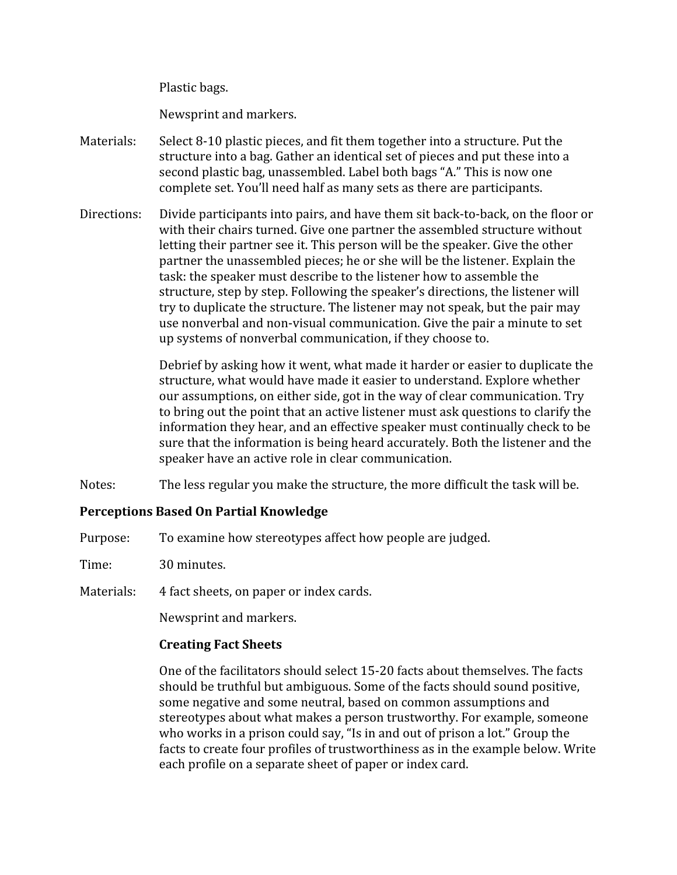Plastic bags.

Newsprint and markers.

- Materials: Select 8-10 plastic pieces, and fit them together into a structure. Put the structure into a bag. Gather an identical set of pieces and put these into a second plastic bag, unassembled. Label both bags "A." This is now one complete set. You'll need half as many sets as there are participants.
- Divide participants into pairs, and have them sit back-to-back, on the floor or Directions: with their chairs turned. Give one partner the assembled structure without letting their partner see it. This person will be the speaker. Give the other partner the unassembled pieces; he or she will be the listener. Explain the task: the speaker must describe to the listener how to assemble the structure, step by step. Following the speaker's directions, the listener will try to duplicate the structure. The listener may not speak, but the pair may use nonverbal and non-visual communication. Give the pair a minute to set up systems of nonverbal communication, if they choose to.

Debrief by asking how it went, what made it harder or easier to duplicate the structure, what would have made it easier to understand. Explore whether our assumptions, on either side, got in the way of clear communication. Try to bring out the point that an active listener must ask questions to clarify the information they hear, and an effective speaker must continually check to be sure that the information is being heard accurately. Both the listener and the speaker have an active role in clear communication.

Notes: The less regular you make the structure, the more difficult the task will be.

## **Perceptions Based On Partial Knowledge**

Purpose: To examine how stereotypes affect how people are judged.

Time: 30 minutes.

Materials: 4 fact sheets, on paper or index cards.

Newsprint and markers.

## **Creating Fact Sheets**

One of the facilitators should select 15-20 facts about themselves. The facts should be truthful but ambiguous. Some of the facts should sound positive, some negative and some neutral, based on common assumptions and stereotypes about what makes a person trustworthy. For example, someone who works in a prison could say, "Is in and out of prison a lot." Group the facts to create four profiles of trustworthiness as in the example below. Write each profile on a separate sheet of paper or index card.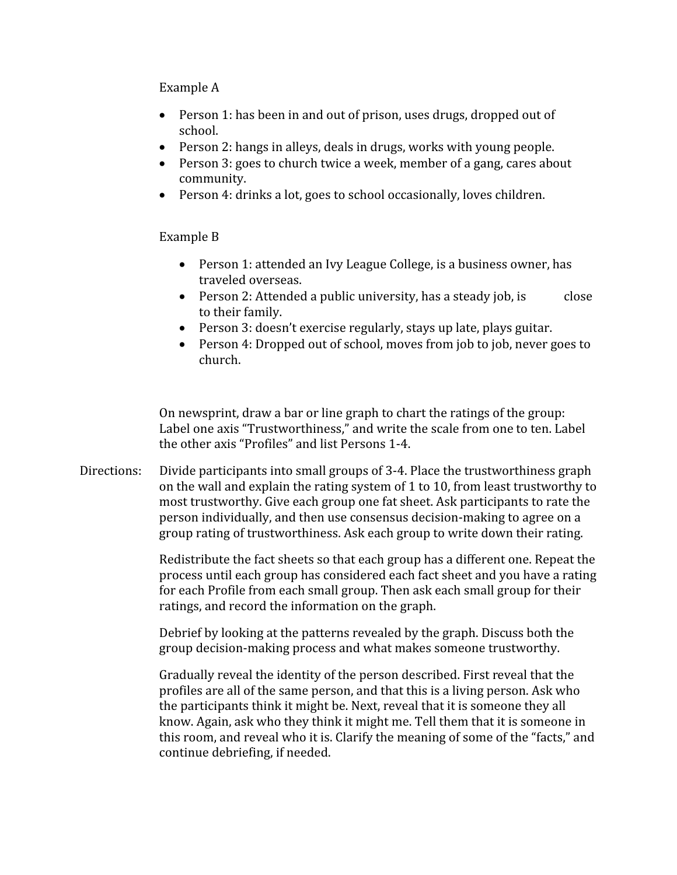Example A

- Person 1: has been in and out of prison, uses drugs, dropped out of school.
- Person 2: hangs in alleys, deals in drugs, works with young people.
- Person 3: goes to church twice a week, member of a gang, cares about community.
- Person 4: drinks a lot, goes to school occasionally, loves children.

Example B

- Person 1: attended an Ivy League College, is a business owner, has traveled overseas.
- Person 2: Attended a public university, has a steady job, is close to their family.
- Person 3: doesn't exercise regularly, stays up late, plays guitar.
- Person 4: Dropped out of school, moves from job to job, never goes to church.

On newsprint, draw a bar or line graph to chart the ratings of the group: Label one axis "Trustworthiness," and write the scale from one to ten. Label the other axis "Profiles" and list Persons 1-4.

Directions: Divide participants into small groups of 3-4. Place the trustworthiness graph on the wall and explain the rating system of 1 to 10, from least trustworthy to most trustworthy. Give each group one fat sheet. Ask participants to rate the person individually, and then use consensus decision-making to agree on a group rating of trustworthiness. Ask each group to write down their rating.

> Redistribute the fact sheets so that each group has a different one. Repeat the process until each group has considered each fact sheet and you have a rating for each Profile from each small group. Then ask each small group for their ratings, and record the information on the graph.

Debrief by looking at the patterns revealed by the graph. Discuss both the group decision-making process and what makes someone trustworthy.

Gradually reveal the identity of the person described. First reveal that the profiles are all of the same person, and that this is a living person. Ask who the participants think it might be. Next, reveal that it is someone they all know. Again, ask who they think it might me. Tell them that it is someone in this room, and reveal who it is. Clarify the meaning of some of the "facts," and continue debriefing, if needed.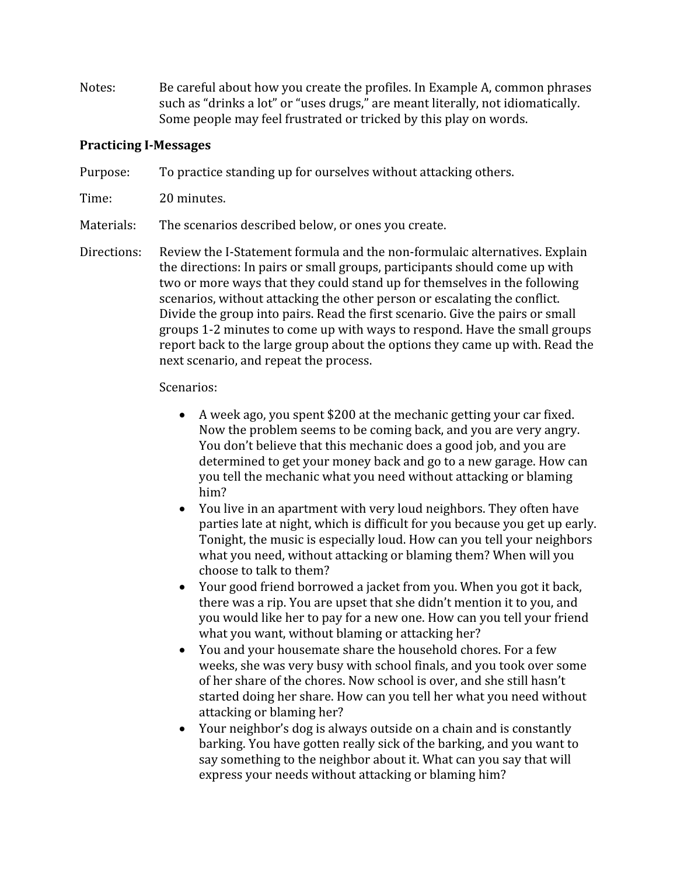Notes: Be careful about how you create the profiles. In Example A, common phrases such as "drinks a lot" or "uses drugs," are meant literally, not idiomatically. Some people may feel frustrated or tricked by this play on words.

## **Practicing I-Messages**

- Purpose: To practice standing up for ourselves without attacking others.
- Time: 20 minutes.

Materials: The scenarios described below, or ones you create.

Directions: Review the I-Statement formula and the non-formulaic alternatives. Explain the directions: In pairs or small groups, participants should come up with two or more ways that they could stand up for themselves in the following scenarios, without attacking the other person or escalating the conflict. Divide the group into pairs. Read the first scenario. Give the pairs or small groups 1-2 minutes to come up with ways to respond. Have the small groups report back to the large group about the options they came up with. Read the next scenario, and repeat the process.

Scenarios:

- A week ago, you spent \$200 at the mechanic getting your car fixed. Now the problem seems to be coming back, and you are very angry. You don't believe that this mechanic does a good job, and you are determined to get your money back and go to a new garage. How can you tell the mechanic what you need without attacking or blaming him?
- You live in an apartment with very loud neighbors. They often have parties late at night, which is difficult for you because you get up early. Tonight, the music is especially loud. How can you tell your neighbors what you need, without attacking or blaming them? When will you choose to talk to them?
- Your good friend borrowed a jacket from you. When you got it back, there was a rip. You are upset that she didn't mention it to you, and you would like her to pay for a new one. How can you tell your friend what you want, without blaming or attacking her?
- You and your housemate share the household chores. For a few  $\bullet$ weeks, she was very busy with school finals, and you took over some of her share of the chores. Now school is over, and she still hasn't started doing her share. How can you tell her what you need without attacking or blaming her?
- Your neighbor's dog is always outside on a chain and is constantly barking. You have gotten really sick of the barking, and you want to say something to the neighbor about it. What can you say that will express your needs without attacking or blaming him?